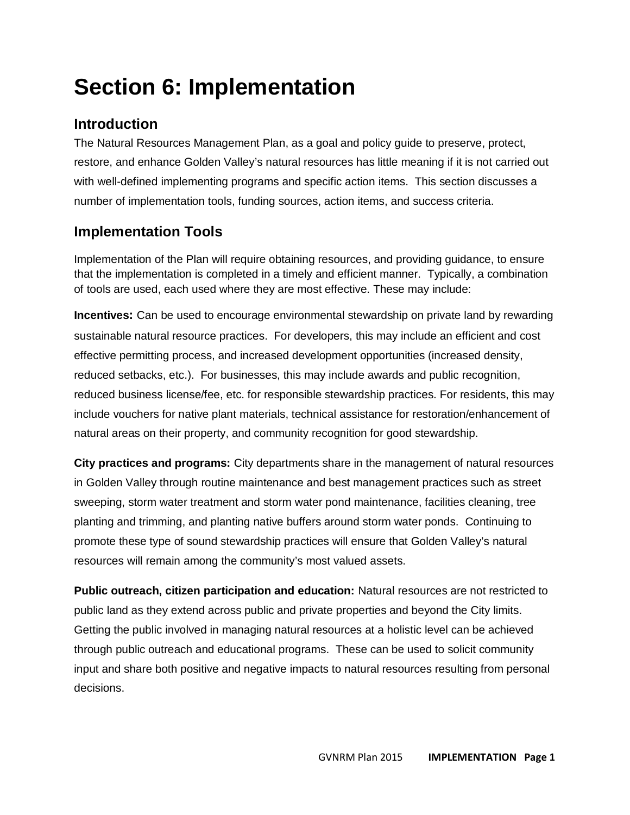# **Section 6: Implementation**

# **Introduction**

The Natural Resources Management Plan, as a goal and policy guide to preserve, protect, restore, and enhance Golden Valley's natural resources has little meaning if it is not carried out with well-defined implementing programs and specific action items. This section discusses a number of implementation tools, funding sources, action items, and success criteria.

# **Implementation Tools**

Implementation of the Plan will require obtaining resources, and providing guidance, to ensure that the implementation is completed in a timely and efficient manner. Typically, a combination of tools are used, each used where they are most effective. These may include:

**Incentives:** Can be used to encourage environmental stewardship on private land by rewarding sustainable natural resource practices. For developers, this may include an efficient and cost effective permitting process, and increased development opportunities (increased density, reduced setbacks, etc.). For businesses, this may include awards and public recognition, reduced business license/fee, etc. for responsible stewardship practices. For residents, this may include vouchers for native plant materials, technical assistance for restoration/enhancement of natural areas on their property, and community recognition for good stewardship.

**City practices and programs:** City departments share in the management of natural resources in Golden Valley through routine maintenance and best management practices such as street sweeping, storm water treatment and storm water pond maintenance, facilities cleaning, tree planting and trimming, and planting native buffers around storm water ponds. Continuing to promote these type of sound stewardship practices will ensure that Golden Valley's natural resources will remain among the community's most valued assets.

**Public outreach, citizen participation and education:** Natural resources are not restricted to public land as they extend across public and private properties and beyond the City limits. Getting the public involved in managing natural resources at a holistic level can be achieved through public outreach and educational programs. These can be used to solicit community input and share both positive and negative impacts to natural resources resulting from personal decisions.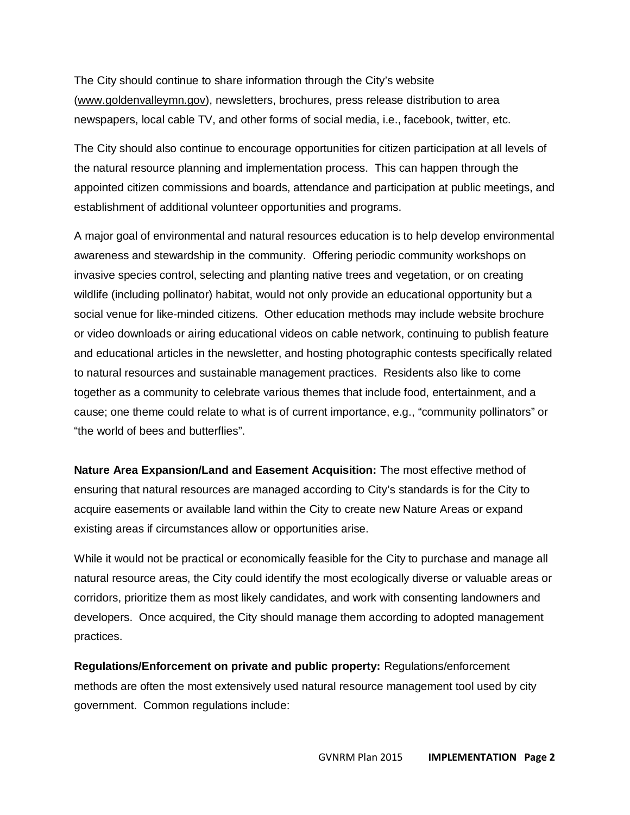The City should continue to share information through the City's website (www.goldenvalleymn.gov), newsletters, brochures, press release distribution to area newspapers, local cable TV, and other forms of social media, i.e., facebook, twitter, etc.

The City should also continue to encourage opportunities for citizen participation at all levels of the natural resource planning and implementation process. This can happen through the appointed citizen commissions and boards, attendance and participation at public meetings, and establishment of additional volunteer opportunities and programs.

A major goal of environmental and natural resources education is to help develop environmental awareness and stewardship in the community. Offering periodic community workshops on invasive species control, selecting and planting native trees and vegetation, or on creating wildlife (including pollinator) habitat, would not only provide an educational opportunity but a social venue for like-minded citizens. Other education methods may include website brochure or video downloads or airing educational videos on cable network, continuing to publish feature and educational articles in the newsletter, and hosting photographic contests specifically related to natural resources and sustainable management practices. Residents also like to come together as a community to celebrate various themes that include food, entertainment, and a cause; one theme could relate to what is of current importance, e.g., "community pollinators" or "the world of bees and butterflies".

**Nature Area Expansion/Land and Easement Acquisition:** The most effective method of ensuring that natural resources are managed according to City's standards is for the City to acquire easements or available land within the City to create new Nature Areas or expand existing areas if circumstances allow or opportunities arise.

While it would not be practical or economically feasible for the City to purchase and manage all natural resource areas, the City could identify the most ecologically diverse or valuable areas or corridors, prioritize them as most likely candidates, and work with consenting landowners and developers. Once acquired, the City should manage them according to adopted management practices.

**Regulations/Enforcement on private and public property:** Regulations/enforcement methods are often the most extensively used natural resource management tool used by city government. Common regulations include: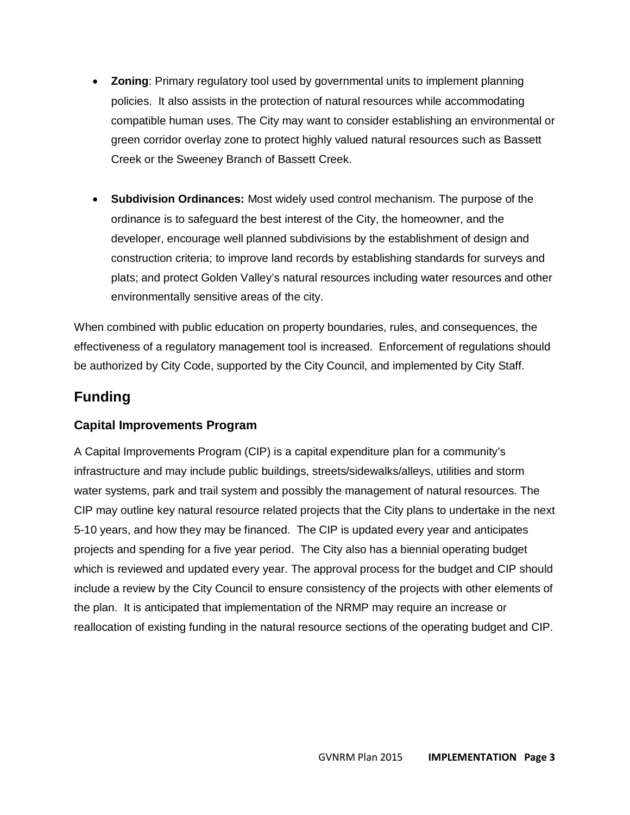- **Zoning**: Primary regulatory tool used by governmental units to implement planning policies. It also assists in the protection of natural resources while accommodating compatible human uses. The City may want to consider establishing an environmental or green corridor overlay zone to protect highly valued natural resources such as Bassett Creek or the Sweeney Branch of Bassett Creek.
- **Subdivision Ordinances:** Most widely used control mechanism. The purpose of the ordinance is to safeguard the best interest of the City, the homeowner, and the developer, encourage well planned subdivisions by the establishment of design and construction criteria; to improve land records by establishing standards for surveys and plats; and protect Golden Valley's natural resources including water resources and other environmentally sensitive areas of the city.

When combined with public education on property boundaries, rules, and consequences, the effectiveness of a regulatory management tool is increased. Enforcement of regulations should be authorized by City Code, supported by the City Council, and implemented by City Staff.

# **Funding**

#### **Capital Improvements Program**

A Capital Improvements Program (CIP) is a capital expenditure plan for a community's infrastructure and may include public buildings, streets/sidewalks/alleys, utilities and storm water systems, park and trail system and possibly the management of natural resources. The CIP may outline key natural resource related projects that the City plans to undertake in the next 5-10 years, and how they may be financed. The CIP is updated every year and anticipates projects and spending for a five year period. The City also has a biennial operating budget which is reviewed and updated every year. The approval process for the budget and CIP should include a review by the City Council to ensure consistency of the projects with other elements of the plan. It is anticipated that implementation of the NRMP may require an increase or reallocation of existing funding in the natural resource sections of the operating budget and CIP.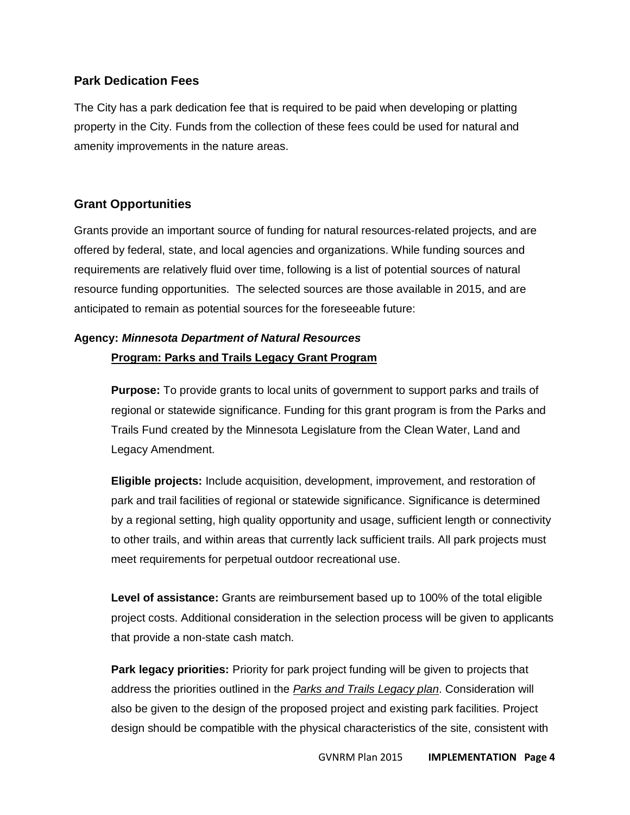#### **Park Dedication Fees**

The City has a park dedication fee that is required to be paid when developing or platting property in the City. Funds from the collection of these fees could be used for natural and amenity improvements in the nature areas.

#### **Grant Opportunities**

Grants provide an important source of funding for natural resources-related projects, and are offered by federal, state, and local agencies and organizations. While funding sources and requirements are relatively fluid over time, following is a list of potential sources of natural resource funding opportunities. The selected sources are those available in 2015, and are anticipated to remain as potential sources for the foreseeable future:

### **Agency:** *Minnesota Department of Natural Resources* **Program: Parks and Trails Legacy Grant Program**

**Purpose:** To provide grants to local units of government to support parks and trails of regional or statewide significance. Funding for this grant program is from the Parks and Trails Fund created by the Minnesota Legislature from the Clean Water, Land and Legacy Amendment.

**Eligible projects:** Include acquisition, development, improvement, and restoration of park and trail facilities of regional or statewide significance. Significance is determined by a regional setting, high quality opportunity and usage, sufficient length or connectivity to other trails, and within areas that currently lack sufficient trails. All park projects must meet requirements for perpetual outdoor recreational use.

**Level of assistance:** Grants are reimbursement based up to 100% of the total eligible project costs. Additional consideration in the selection process will be given to applicants that provide a non-state cash match.

**Park legacy priorities:** Priority for park project funding will be given to projects that address the priorities outlined in the *Parks and Trails Legacy plan*. Consideration will also be given to the design of the proposed project and existing park facilities. Project design should be compatible with the physical characteristics of the site, consistent with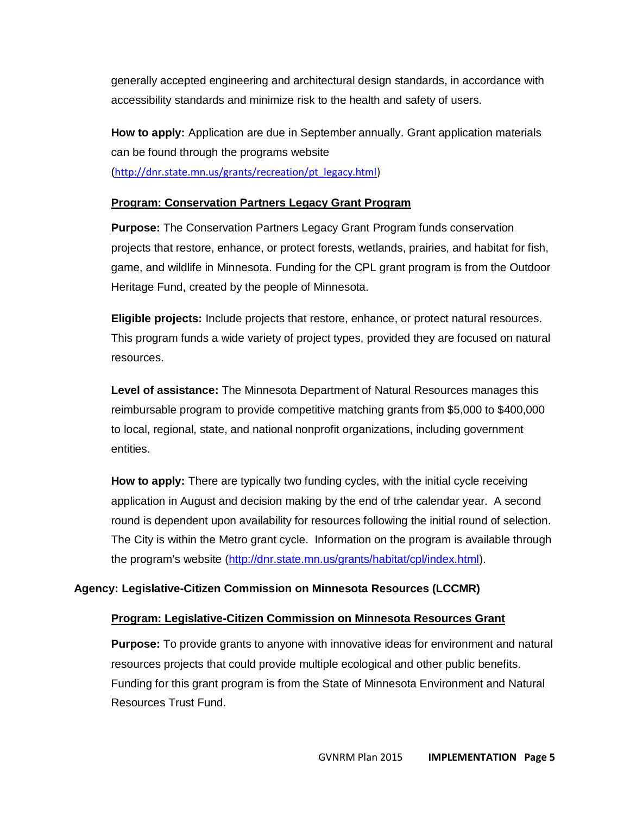generally accepted engineering and architectural design standards, in accordance with accessibility standards and minimize risk to the health and safety of users.

**How to apply:** Application are due in September annually. Grant application materials can be found through the programs website (http://dnr.state.mn.us/grants/recreation/pt\_legacy.html)

#### **Program: Conservation Partners Legacy Grant Program**

**Purpose:** The Conservation Partners Legacy Grant Program funds conservation projects that restore, enhance, or protect forests, wetlands, prairies, and habitat for fish, game, and wildlife in Minnesota. Funding for the CPL grant program is from the Outdoor Heritage Fund, created by the people of Minnesota.

**Eligible projects:** Include projects that restore, enhance, or protect natural resources. This program funds a wide variety of project types, provided they are focused on natural resources.

**Level of assistance:** The Minnesota Department of Natural Resources manages this reimbursable program to provide competitive matching grants from \$5,000 to \$400,000 to local, regional, state, and national nonprofit organizations, including government entities.

**How to apply:** There are typically two funding cycles, with the initial cycle receiving application in August and decision making by the end of trhe calendar year. A second round is dependent upon availability for resources following the initial round of selection. The City is within the Metro grant cycle. Information on the program is available through the program's website (http://dnr.state.mn.us/grants/habitat/cpl/index.html).

#### **Agency: Legislative-Citizen Commission on Minnesota Resources (LCCMR)**

#### **Program: Legislative-Citizen Commission on Minnesota Resources Grant**

**Purpose:** To provide grants to anyone with innovative ideas for environment and natural resources projects that could provide multiple ecological and other public benefits. Funding for this grant program is from the State of Minnesota Environment and Natural Resources Trust Fund.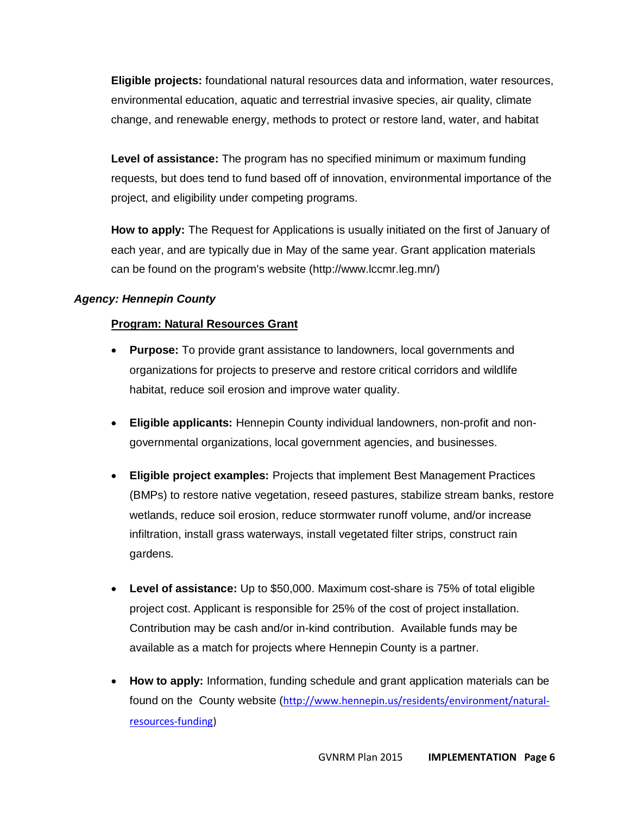**Eligible projects:** foundational natural resources data and information, water resources, environmental education, aquatic and terrestrial invasive species, air quality, climate change, and renewable energy, methods to protect or restore land, water, and habitat

**Level of assistance:** The program has no specified minimum or maximum funding requests, but does tend to fund based off of innovation, environmental importance of the project, and eligibility under competing programs.

**How to apply:** The Request for Applications is usually initiated on the first of January of each year, and are typically due in May of the same year. Grant application materials can be found on the program's website (http://www.lccmr.leg.mn/)

#### *Agency: Hennepin County*

#### **Program: Natural Resources Grant**

- **Purpose:** To provide grant assistance to landowners, local governments and organizations for projects to preserve and restore critical corridors and wildlife habitat, reduce soil erosion and improve water quality.
- **Eligible applicants:** Hennepin County individual landowners, non-profit and nongovernmental organizations, local government agencies, and businesses.
- **Eligible project examples:** Projects that implement Best Management Practices (BMPs) to restore native vegetation, reseed pastures, stabilize stream banks, restore wetlands, reduce soil erosion, reduce stormwater runoff volume, and/or increase infiltration, install grass waterways, install vegetated filter strips, construct rain gardens.
- **Level of assistance:** Up to \$50,000. Maximum cost-share is 75% of total eligible project cost. Applicant is responsible for 25% of the cost of project installation. Contribution may be cash and/or in-kind contribution. Available funds may be available as a match for projects where Hennepin County is a partner.
- **How to apply:** Information, funding schedule and grant application materials can be found on the County website (http://www.hennepin.us/residents/environment/naturalresources-funding)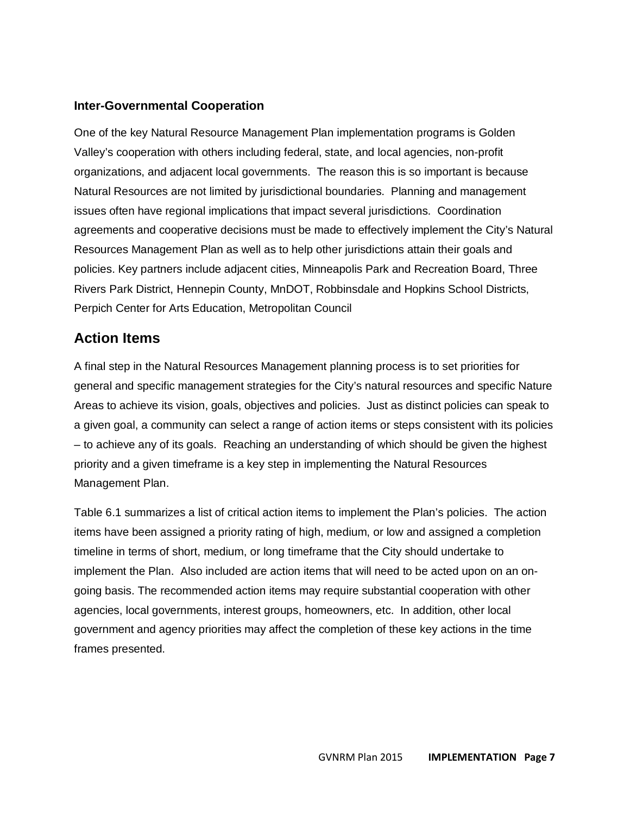#### **Inter-Governmental Cooperation**

One of the key Natural Resource Management Plan implementation programs is Golden Valley's cooperation with others including federal, state, and local agencies, non-profit organizations, and adjacent local governments. The reason this is so important is because Natural Resources are not limited by jurisdictional boundaries. Planning and management issues often have regional implications that impact several jurisdictions. Coordination agreements and cooperative decisions must be made to effectively implement the City's Natural Resources Management Plan as well as to help other jurisdictions attain their goals and policies. Key partners include adjacent cities, Minneapolis Park and Recreation Board, Three Rivers Park District, Hennepin County, MnDOT, Robbinsdale and Hopkins School Districts, Perpich Center for Arts Education, Metropolitan Council

### **Action Items**

A final step in the Natural Resources Management planning process is to set priorities for general and specific management strategies for the City's natural resources and specific Nature Areas to achieve its vision, goals, objectives and policies. Just as distinct policies can speak to a given goal, a community can select a range of action items or steps consistent with its policies – to achieve any of its goals. Reaching an understanding of which should be given the highest priority and a given timeframe is a key step in implementing the Natural Resources Management Plan.

Table 6.1 summarizes a list of critical action items to implement the Plan's policies. The action items have been assigned a priority rating of high, medium, or low and assigned a completion timeline in terms of short, medium, or long timeframe that the City should undertake to implement the Plan. Also included are action items that will need to be acted upon on an ongoing basis. The recommended action items may require substantial cooperation with other agencies, local governments, interest groups, homeowners, etc. In addition, other local government and agency priorities may affect the completion of these key actions in the time frames presented.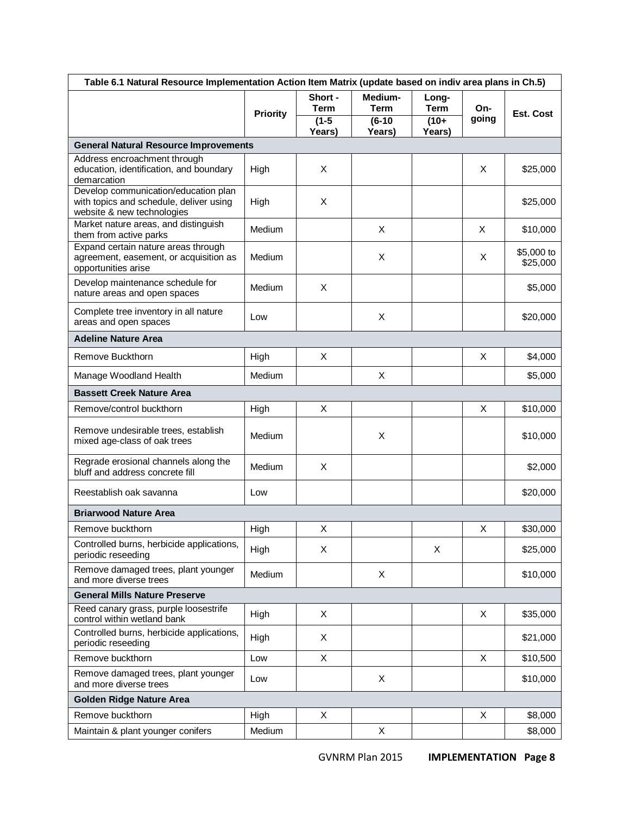| Table 6.1 Natural Resource Implementation Action Item Matrix (update based on indiv area plans in Ch.5)       |                 |                                             |                                              |                                          |              |                        |
|---------------------------------------------------------------------------------------------------------------|-----------------|---------------------------------------------|----------------------------------------------|------------------------------------------|--------------|------------------------|
|                                                                                                               | <b>Priority</b> | Short -<br><b>Term</b><br>$(1-5)$<br>Years) | Medium-<br><b>Term</b><br>$(6-10)$<br>Years) | Long-<br><b>Term</b><br>$(10+$<br>Years) | On-<br>going | <b>Est. Cost</b>       |
| <b>General Natural Resource Improvements</b>                                                                  |                 |                                             |                                              |                                          |              |                        |
| Address encroachment through<br>education, identification, and boundary<br>demarcation                        | High            | X                                           |                                              |                                          | X            | \$25,000               |
| Develop communication/education plan<br>with topics and schedule, deliver using<br>website & new technologies | High            | X                                           |                                              |                                          |              | \$25,000               |
| Market nature areas, and distinguish<br>them from active parks                                                | Medium          |                                             | X                                            |                                          | X            | \$10,000               |
| Expand certain nature areas through<br>agreement, easement, or acquisition as<br>opportunities arise          | Medium          |                                             | X                                            |                                          | X            | \$5,000 to<br>\$25,000 |
| Develop maintenance schedule for<br>nature areas and open spaces                                              | Medium          | X                                           |                                              |                                          |              | \$5,000                |
| Complete tree inventory in all nature<br>areas and open spaces                                                | Low             |                                             | X                                            |                                          |              | \$20,000               |
| <b>Adeline Nature Area</b>                                                                                    |                 |                                             |                                              |                                          |              |                        |
| Remove Buckthorn                                                                                              | High            | X                                           |                                              |                                          | X            | \$4,000                |
| Manage Woodland Health                                                                                        | Medium          |                                             | X                                            |                                          |              | \$5,000                |
| <b>Bassett Creek Nature Area</b>                                                                              |                 |                                             |                                              |                                          |              |                        |
| Remove/control buckthorn                                                                                      | High            | X                                           |                                              |                                          | X            | \$10,000               |
| Remove undesirable trees, establish<br>mixed age-class of oak trees                                           | Medium          |                                             | X                                            |                                          |              | \$10,000               |
| Regrade erosional channels along the<br>bluff and address concrete fill                                       | Medium          | X                                           |                                              |                                          |              | \$2,000                |
| Reestablish oak savanna                                                                                       | Low             |                                             |                                              |                                          |              | \$20,000               |
| <b>Briarwood Nature Area</b>                                                                                  |                 |                                             |                                              |                                          |              |                        |
| Remove buckthorn                                                                                              | High            | X                                           |                                              |                                          | X            | \$30,000               |
| Controlled burns, herbicide applications,<br>periodic reseeding                                               | High            | X                                           |                                              | X                                        |              | \$25,000               |
| Remove damaged trees, plant younger<br>and more diverse trees                                                 | Medium          |                                             | X                                            |                                          |              | \$10,000               |
| <b>General Mills Nature Preserve</b>                                                                          |                 |                                             |                                              |                                          |              |                        |
| Reed canary grass, purple loosestrife<br>control within wetland bank                                          | High            | X                                           |                                              |                                          | X            | \$35,000               |
| Controlled burns, herbicide applications,<br>periodic reseeding                                               | High            | X                                           |                                              |                                          |              | \$21,000               |
| Remove buckthorn                                                                                              | Low             | X                                           |                                              |                                          | X            | \$10,500               |
| Remove damaged trees, plant younger<br>and more diverse trees                                                 | Low             |                                             | X                                            |                                          |              | \$10,000               |
| <b>Golden Ridge Nature Area</b>                                                                               |                 |                                             |                                              |                                          |              |                        |
| Remove buckthorn                                                                                              | High            | X                                           |                                              |                                          | X            | \$8,000                |
| Maintain & plant younger conifers                                                                             | Medium          |                                             | X                                            |                                          |              | \$8,000                |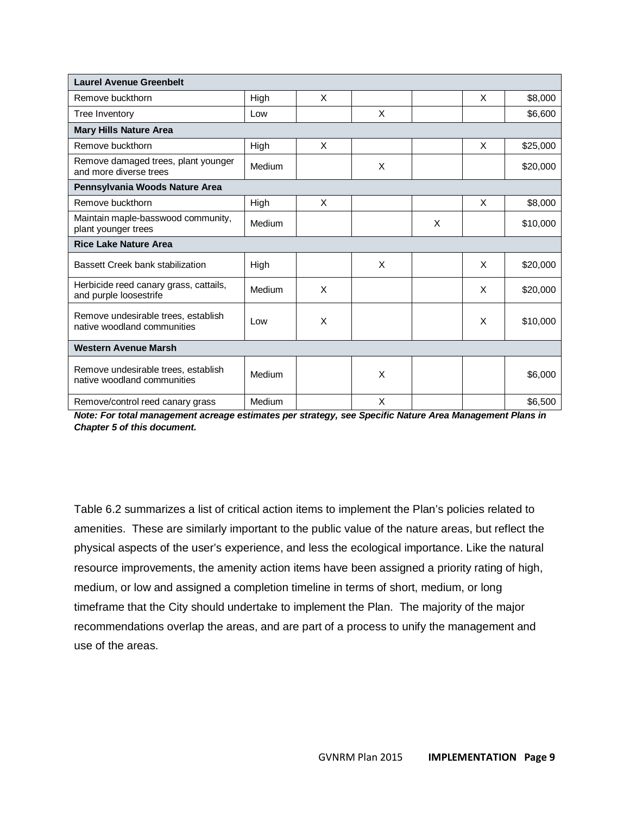| <b>Laurel Avenue Greenbelt</b>                                     |        |   |   |   |   |          |  |  |
|--------------------------------------------------------------------|--------|---|---|---|---|----------|--|--|
| Remove buckthorn                                                   | High   | X |   |   | X | \$8,000  |  |  |
| Tree Inventory                                                     | Low    |   | X |   |   | \$6,600  |  |  |
| <b>Mary Hills Nature Area</b>                                      |        |   |   |   |   |          |  |  |
| Remove buckthorn                                                   | High   | X |   |   | X | \$25,000 |  |  |
| Remove damaged trees, plant younger<br>and more diverse trees      | Medium |   | X |   |   | \$20,000 |  |  |
| Pennsylvania Woods Nature Area                                     |        |   |   |   |   |          |  |  |
| Remove buckthorn                                                   | High   | X |   |   | X | \$8,000  |  |  |
| Maintain maple-basswood community,<br>plant younger trees          | Medium |   |   | X |   | \$10,000 |  |  |
| <b>Rice Lake Nature Area</b>                                       |        |   |   |   |   |          |  |  |
| Bassett Creek bank stabilization                                   | High   |   | X |   | X | \$20,000 |  |  |
| Herbicide reed canary grass, cattails,<br>and purple loosestrife   | Medium | X |   |   | X | \$20,000 |  |  |
| Remove undesirable trees, establish<br>native woodland communities | Low    | X |   |   | X | \$10,000 |  |  |
| <b>Western Avenue Marsh</b>                                        |        |   |   |   |   |          |  |  |
| Remove undesirable trees, establish<br>native woodland communities | Medium |   | X |   |   | \$6,000  |  |  |
| Remove/control reed canary grass                                   | Medium |   | X |   |   | \$6,500  |  |  |

*Note: For total management acreage estimates per strategy, see Specific Nature Area Management Plans in Chapter 5 of this document.*

Table 6.2 summarizes a list of critical action items to implement the Plan's policies related to amenities. These are similarly important to the public value of the nature areas, but reflect the physical aspects of the user's experience, and less the ecological importance. Like the natural resource improvements, the amenity action items have been assigned a priority rating of high, medium, or low and assigned a completion timeline in terms of short, medium, or long timeframe that the City should undertake to implement the Plan. The majority of the major recommendations overlap the areas, and are part of a process to unify the management and use of the areas.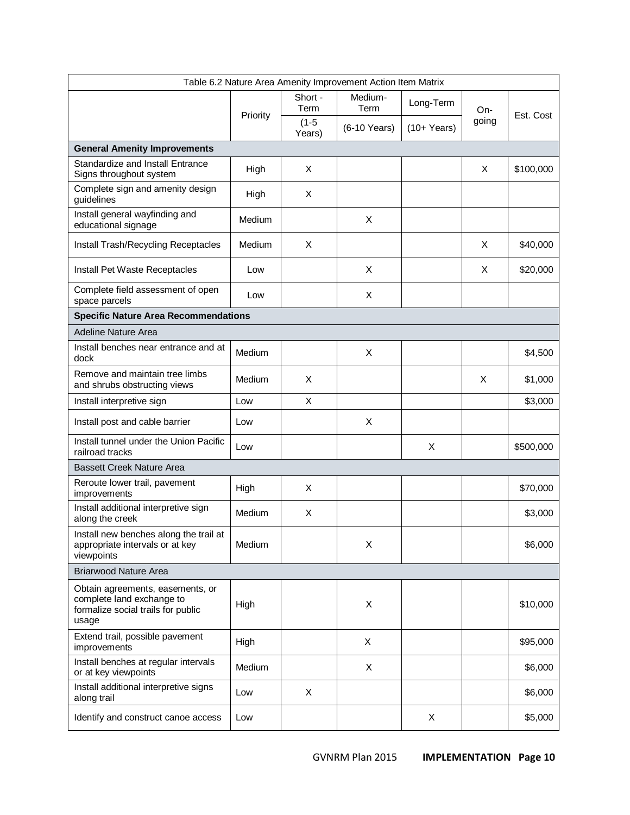| Table 6.2 Nature Area Amenity Improvement Action Item Matrix                                                 |          |                   |                 |              |       |           |  |
|--------------------------------------------------------------------------------------------------------------|----------|-------------------|-----------------|--------------|-------|-----------|--|
|                                                                                                              | Priority | Short -<br>Term   | Medium-<br>Term | Long-Term    | On-   | Est. Cost |  |
|                                                                                                              |          | $(1-5)$<br>Years) | (6-10 Years)    | $(10+Years)$ | going |           |  |
| <b>General Amenity Improvements</b>                                                                          |          |                   |                 |              |       |           |  |
| Standardize and Install Entrance<br>Signs throughout system                                                  | High     | X                 |                 |              | X     | \$100,000 |  |
| Complete sign and amenity design<br>guidelines                                                               | High     | X                 |                 |              |       |           |  |
| Install general wayfinding and<br>educational signage                                                        | Medium   |                   | X               |              |       |           |  |
| Install Trash/Recycling Receptacles                                                                          | Medium   | X                 |                 |              | X     | \$40,000  |  |
| Install Pet Waste Receptacles                                                                                | Low      |                   | X               |              | X     | \$20,000  |  |
| Complete field assessment of open<br>space parcels                                                           | Low      |                   | X               |              |       |           |  |
| <b>Specific Nature Area Recommendations</b>                                                                  |          |                   |                 |              |       |           |  |
| <b>Adeline Nature Area</b>                                                                                   |          |                   |                 |              |       |           |  |
| Install benches near entrance and at<br>dock                                                                 | Medium   |                   | X               |              |       | \$4,500   |  |
| Remove and maintain tree limbs<br>and shrubs obstructing views                                               | Medium   | X                 |                 |              | X     | \$1,000   |  |
| Install interpretive sign                                                                                    | Low      | X                 |                 |              |       | \$3,000   |  |
| Install post and cable barrier                                                                               | Low      |                   | X               |              |       |           |  |
| Install tunnel under the Union Pacific<br>railroad tracks                                                    | Low      |                   |                 | X            |       | \$500,000 |  |
| <b>Bassett Creek Nature Area</b>                                                                             |          |                   |                 |              |       |           |  |
| Reroute lower trail, pavement<br>improvements                                                                | High     | X                 |                 |              |       | \$70,000  |  |
| Install additional interpretive sign<br>along the creek                                                      | Medium   | X                 |                 |              |       | \$3,000   |  |
| Install new benches along the trail at<br>appropriate intervals or at key<br>viewpoints                      | Medium   |                   | X               |              |       | \$6,000   |  |
| <b>Briarwood Nature Area</b>                                                                                 |          |                   |                 |              |       |           |  |
| Obtain agreements, easements, or<br>complete land exchange to<br>formalize social trails for public<br>usage | High     |                   | X               |              |       | \$10,000  |  |
| Extend trail, possible pavement<br>improvements                                                              | High     |                   | X               |              |       | \$95,000  |  |
| Install benches at regular intervals<br>or at key viewpoints                                                 | Medium   |                   | X               |              |       | \$6,000   |  |
| Install additional interpretive signs<br>along trail                                                         | Low      | X                 |                 |              |       | \$6,000   |  |
| Identify and construct canoe access                                                                          | Low      |                   |                 | X            |       | \$5,000   |  |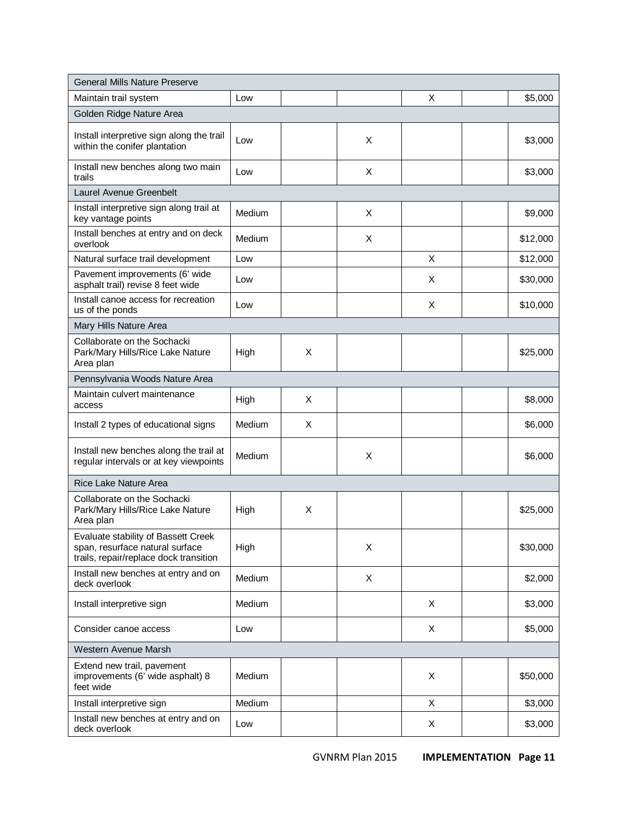| <b>General Mills Nature Preserve</b>                                                                             |        |   |   |   |          |  |  |
|------------------------------------------------------------------------------------------------------------------|--------|---|---|---|----------|--|--|
| Maintain trail system                                                                                            | Low    |   |   | X | \$5,000  |  |  |
| Golden Ridge Nature Area                                                                                         |        |   |   |   |          |  |  |
| Install interpretive sign along the trail<br>within the conifer plantation                                       | Low    |   | X |   | \$3,000  |  |  |
| Install new benches along two main<br>trails                                                                     | Low    |   | X |   | \$3,000  |  |  |
| Laurel Avenue Greenbelt                                                                                          |        |   |   |   |          |  |  |
| Install interpretive sign along trail at<br>key vantage points                                                   | Medium |   | X |   | \$9,000  |  |  |
| Install benches at entry and on deck<br>overlook                                                                 | Medium |   | X |   | \$12,000 |  |  |
| Natural surface trail development                                                                                | Low    |   |   | X | \$12,000 |  |  |
| Pavement improvements (6' wide<br>asphalt trail) revise 8 feet wide                                              | Low    |   |   | X | \$30,000 |  |  |
| Install canoe access for recreation<br>us of the ponds                                                           | Low    |   |   | X | \$10,000 |  |  |
| Mary Hills Nature Area                                                                                           |        |   |   |   |          |  |  |
| Collaborate on the Sochacki<br>Park/Mary Hills/Rice Lake Nature<br>Area plan                                     | High   | X |   |   | \$25,000 |  |  |
| Pennsylvania Woods Nature Area                                                                                   |        |   |   |   |          |  |  |
| Maintain culvert maintenance<br>access                                                                           | High   | X |   |   | \$8,000  |  |  |
| Install 2 types of educational signs                                                                             | Medium | X |   |   | \$6,000  |  |  |
| Install new benches along the trail at<br>regular intervals or at key viewpoints                                 | Medium |   | X |   | \$6,000  |  |  |
| <b>Rice Lake Nature Area</b>                                                                                     |        |   |   |   |          |  |  |
| Collaborate on the Sochacki<br>Park/Mary Hills/Rice Lake Nature<br>Area plan                                     | High   | X |   |   | \$25,000 |  |  |
| Evaluate stability of Bassett Creek<br>span, resurface natural surface<br>trails, repair/replace dock transition | High   |   | X |   | \$30,000 |  |  |
| Install new benches at entry and on<br>deck overlook                                                             | Medium |   | X |   | \$2,000  |  |  |
| Install interpretive sign                                                                                        | Medium |   |   | X | \$3,000  |  |  |
| Consider canoe access                                                                                            | Low    |   |   | X | \$5,000  |  |  |
| Western Avenue Marsh                                                                                             |        |   |   |   |          |  |  |
| Extend new trail, pavement<br>improvements (6' wide asphalt) 8<br>feet wide                                      | Medium |   |   | X | \$50,000 |  |  |
| Install interpretive sign                                                                                        | Medium |   |   | X | \$3,000  |  |  |
| Install new benches at entry and on<br>deck overlook                                                             | Low    |   |   | X | \$3,000  |  |  |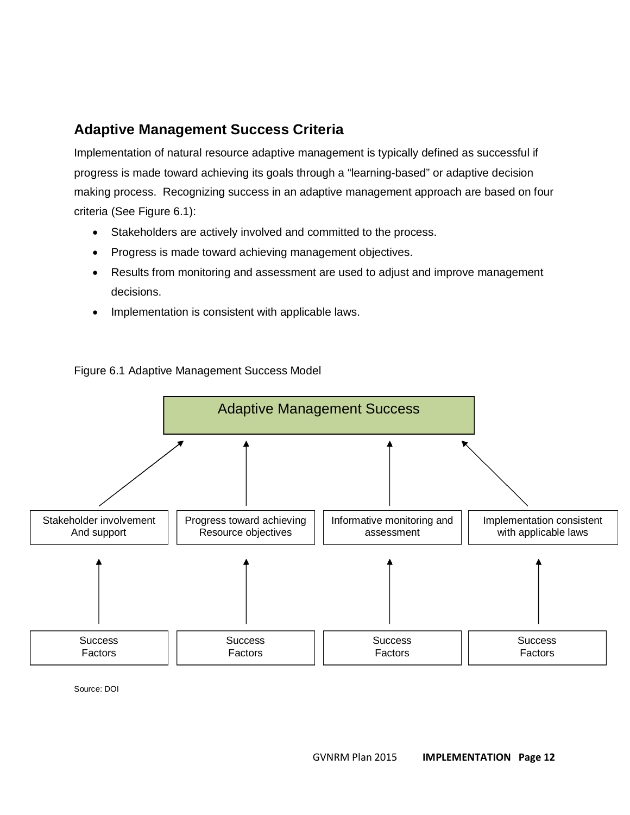## **Adaptive Management Success Criteria**

Implementation of natural resource adaptive management is typically defined as successful if progress is made toward achieving its goals through a "learning-based" or adaptive decision making process. Recognizing success in an adaptive management approach are based on four criteria (See Figure 6.1):

- Stakeholders are actively involved and committed to the process.
- Progress is made toward achieving management objectives.
- Results from monitoring and assessment are used to adjust and improve management decisions.
- Implementation is consistent with applicable laws.



Figure 6.1 Adaptive Management Success Model

Source: DOI